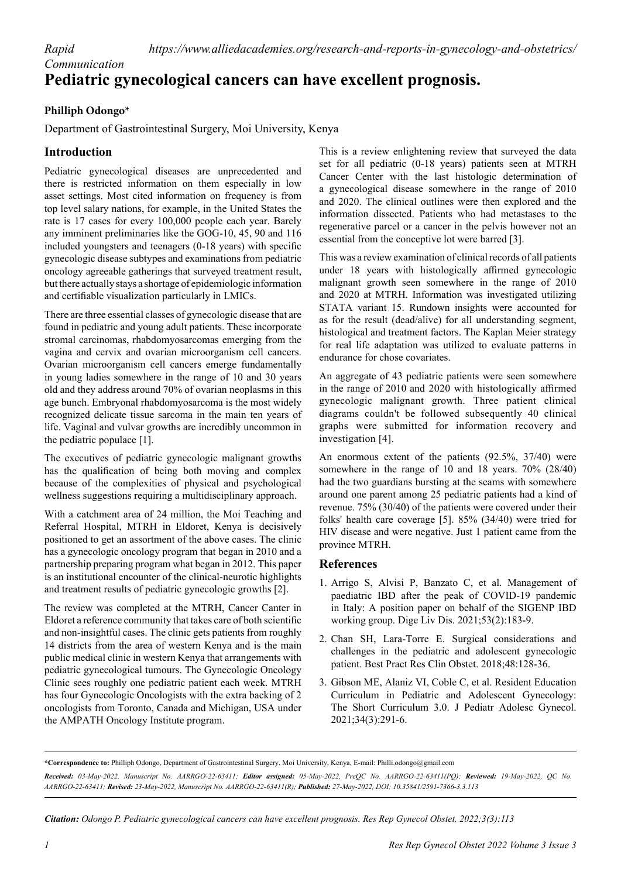*Rapid* 

## *Communication* **Pediatric gynecological cancers can have excellent prognosis.**

## **Philliph Odongo\***

Department of Gastrointestinal Surgery, Moi University, Kenya

## **Introduction**

Pediatric gynecological diseases are unprecedented and there is restricted information on them especially in low asset settings. Most cited information on frequency is from top level salary nations, for example, in the United States the rate is 17 cases for every 100,000 people each year. Barely any imminent preliminaries like the GOG-10, 45, 90 and 116 included youngsters and teenagers (0-18 years) with specific gynecologic disease subtypes and examinations from pediatric oncology agreeable gatherings that surveyed treatment result, but there actually stays a shortage of epidemiologic information and certifiable visualization particularly in LMICs.

There are three essential classes of gynecologic disease that are found in pediatric and young adult patients. These incorporate stromal carcinomas, rhabdomyosarcomas emerging from the vagina and cervix and ovarian microorganism cell cancers. Ovarian microorganism cell cancers emerge fundamentally in young ladies somewhere in the range of 10 and 30 years old and they address around 70% of ovarian neoplasms in this age bunch. Embryonal rhabdomyosarcoma is the most widely recognized delicate tissue sarcoma in the main ten years of life. Vaginal and vulvar growths are incredibly uncommon in the pediatric populace [1].

The executives of pediatric gynecologic malignant growths has the qualification of being both moving and complex because of the complexities of physical and psychological wellness suggestions requiring a multidisciplinary approach.

With a catchment area of 24 million, the Moi Teaching and Referral Hospital, MTRH in Eldoret, Kenya is decisively positioned to get an assortment of the above cases. The clinic has a gynecologic oncology program that began in 2010 and a partnership preparing program what began in 2012. This paper is an institutional encounter of the clinical-neurotic highlights and treatment results of pediatric gynecologic growths [2].

The review was completed at the MTRH, Cancer Canter in Eldoret a reference community that takes care of both scientific and non-insightful cases. The clinic gets patients from roughly 14 districts from the area of western Kenya and is the main public medical clinic in western Kenya that arrangements with pediatric gynecological tumours. The Gynecologic Oncology Clinic sees roughly one pediatric patient each week. MTRH has four Gynecologic Oncologists with the extra backing of 2 oncologists from Toronto, Canada and Michigan, USA under the AMPATH Oncology Institute program.

This is a review enlightening review that surveyed the data set for all pediatric (0-18 years) patients seen at MTRH Cancer Center with the last histologic determination of a gynecological disease somewhere in the range of 2010 and 2020. The clinical outlines were then explored and the information dissected. Patients who had metastases to the regenerative parcel or a cancer in the pelvis however not an essential from the conceptive lot were barred [3].

This was a review examination of clinical records of all patients under 18 years with histologically affirmed gynecologic malignant growth seen somewhere in the range of 2010 and 2020 at MTRH. Information was investigated utilizing STATA variant 15. Rundown insights were accounted for as for the result (dead/alive) for all understanding segment, histological and treatment factors. The Kaplan Meier strategy for real life adaptation was utilized to evaluate patterns in endurance for chose covariates.

An aggregate of 43 pediatric patients were seen somewhere in the range of 2010 and 2020 with histologically affirmed gynecologic malignant growth. Three patient clinical diagrams couldn't be followed subsequently 40 clinical graphs were submitted for information recovery and investigation [4].

An enormous extent of the patients (92.5%, 37/40) were somewhere in the range of 10 and 18 years. 70% (28/40) had the two guardians bursting at the seams with somewhere around one parent among 25 pediatric patients had a kind of revenue. 75% (30/40) of the patients were covered under their folks' health care coverage [5]. 85% (34/40) were tried for HIV disease and were negative. Just 1 patient came from the province MTRH.

## **References**

- 1. Arrigo S, Alvisi P, Banzato C, et al. [Management of](https://www.sciencedirect.com/science/article/pii/S1590865820309762)  [paediatric IBD after the peak of COVID-19 pandemic](https://www.sciencedirect.com/science/article/pii/S1590865820309762)  [in Italy: A position paper on behalf of the SIGENP IBD](https://www.sciencedirect.com/science/article/pii/S1590865820309762)  [working group](https://www.sciencedirect.com/science/article/pii/S1590865820309762). Dige Liv Dis. 2021;53(2):183-9.
- 2. Chan SH, Lara-Torre E. [Surgical considerations and](https://www.sciencedirect.com/science/article/pii/S1521693417301670)  [challenges in the pediatric and adolescent gynecologic](https://www.sciencedirect.com/science/article/pii/S1521693417301670)  [patient](https://www.sciencedirect.com/science/article/pii/S1521693417301670). Best Pract Res Clin Obstet. 2018;48:128-36.
- 3. Gibson ME, Alaniz VI, Coble C, et al. [Resident Education](https://www.sciencedirect.com/science/article/pii/S1083318821000188)  [Curriculum in Pediatric and Adolescent Gynecology:](https://www.sciencedirect.com/science/article/pii/S1083318821000188)  [The Short Curriculum 3.0.](https://www.sciencedirect.com/science/article/pii/S1083318821000188) J Pediatr Adolesc Gynecol. 2021;34(3):291-6.

*Citation: Odongo P. Pediatric gynecological cancers can have excellent prognosis. Res Rep Gynecol Obstet. 2022;3(3):113*

**<sup>\*</sup>Correspondence to:** Philliph Odongo, Department of Gastrointestinal Surgery, Moi University, Kenya, E-mail: Philli.odongo@gmail.com *Received: 03-May-2022, Manuscript No. AARRGO-22-63411; Editor assigned: 05-May-2022, PreQC No. AARRGO-22-63411(PQ); Reviewed: 19-May-2022, QC No. AARRGO-22-63411; Revised: 23-May-2022, Manuscript No. AARRGO-22-63411(R); Published: 27-May-2022, DOI: 10.35841/2591-7366-3.3.113*